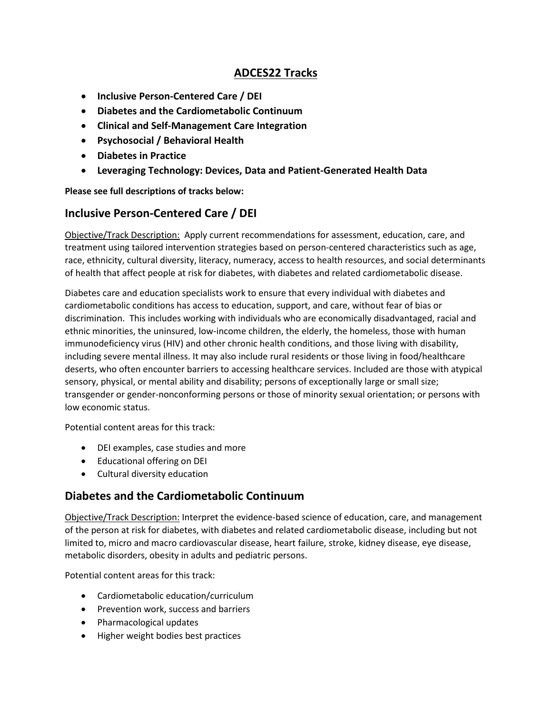## **ADCES22 Tracks**

- **Inclusive Person-Centered Care / DEI**
- **Diabetes and the Cardiometabolic Continuum**
- **Clinical and Self-Management Care Integration**
- **Psychosocial / Behavioral Health**
- **Diabetes in Practice**
- **Leveraging Technology: Devices, Data and Patient-Generated Health Data**

**Please see full descriptions of tracks below:**

### **Inclusive Person-Centered Care / DEI**

Objective/Track Description: Apply current recommendations for assessment, education, care, and treatment using tailored intervention strategies based on person-centered characteristics such as age, race, ethnicity, cultural diversity, literacy, numeracy, access to health resources, and social determinants of health that affect people at risk for diabetes, with diabetes and related cardiometabolic disease.

Diabetes care and education specialists work to ensure that every individual with diabetes and cardiometabolic conditions has access to education, support, and care, without fear of bias or discrimination. This includes working with individuals who are economically disadvantaged, racial and ethnic minorities, the uninsured, low-income children, the elderly, the homeless, those with human immunodeficiency virus (HIV) and other chronic health conditions, and those living with disability, including severe mental illness. It may also include rural residents or those living in food/healthcare deserts, who often encounter barriers to accessing healthcare services. Included are those with atypical sensory, physical, or mental ability and disability; persons of exceptionally large or small size; transgender or gender-nonconforming persons or those of minority sexual orientation; or persons with low economic status.

Potential content areas for this track:

- DEI examples, case studies and more
- Educational offering on DEI
- Cultural diversity education

#### **Diabetes and the Cardiometabolic Continuum**

Objective/Track Description: Interpret the evidence-based science of education, care, and management of the person at risk for diabetes, with diabetes and related cardiometabolic disease, including but not limited to, micro and macro cardiovascular disease, heart failure, stroke, kidney disease, eye disease, metabolic disorders, obesity in adults and pediatric persons.

Potential content areas for this track:

- Cardiometabolic education/curriculum
- Prevention work, success and barriers
- Pharmacological updates
- Higher weight bodies best practices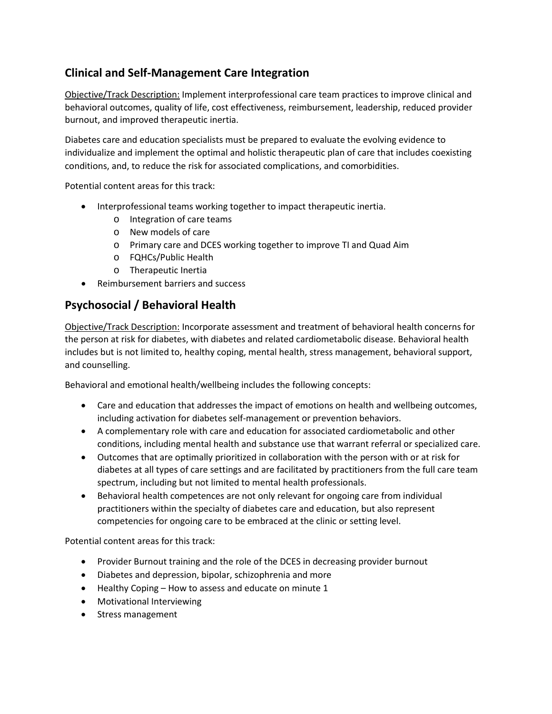# **Clinical and Self-Management Care Integration**

Objective/Track Description: Implement interprofessional care team practices to improve clinical and behavioral outcomes, quality of life, cost effectiveness, reimbursement, leadership, reduced provider burnout, and improved therapeutic inertia.

Diabetes care and education specialists must be prepared to evaluate the evolving evidence to individualize and implement the optimal and holistic therapeutic plan of care that includes coexisting conditions, and, to reduce the risk for associated complications, and comorbidities.

Potential content areas for this track:

- Interprofessional teams working together to impact therapeutic inertia.
	- o Integration of care teams
	- o New models of care
	- o Primary care and DCES working together to improve TI and Quad Aim
	- o FQHCs/Public Health
	- o Therapeutic Inertia
- Reimbursement barriers and success

# **Psychosocial / Behavioral Health**

Objective/Track Description: Incorporate assessment and treatment of behavioral health concerns for the person at risk for diabetes, with diabetes and related cardiometabolic disease. Behavioral health includes but is not limited to, healthy coping, mental health, stress management, behavioral support, and counselling.

Behavioral and emotional health/wellbeing includes the following concepts:

- Care and education that addresses the impact of emotions on health and wellbeing outcomes, including activation for diabetes self-management or prevention behaviors.
- A complementary role with care and education for associated cardiometabolic and other conditions, including mental health and substance use that warrant referral or specialized care.
- Outcomes that are optimally prioritized in collaboration with the person with or at risk for diabetes at all types of care settings and are facilitated by practitioners from the full care team spectrum, including but not limited to mental health professionals.
- Behavioral health competences are not only relevant for ongoing care from individual practitioners within the specialty of diabetes care and education, but also represent competencies for ongoing care to be embraced at the clinic or setting level.

Potential content areas for this track:

- Provider Burnout training and the role of the DCES in decreasing provider burnout
- Diabetes and depression, bipolar, schizophrenia and more
- Healthy Coping How to assess and educate on minute 1
- Motivational Interviewing
- Stress management